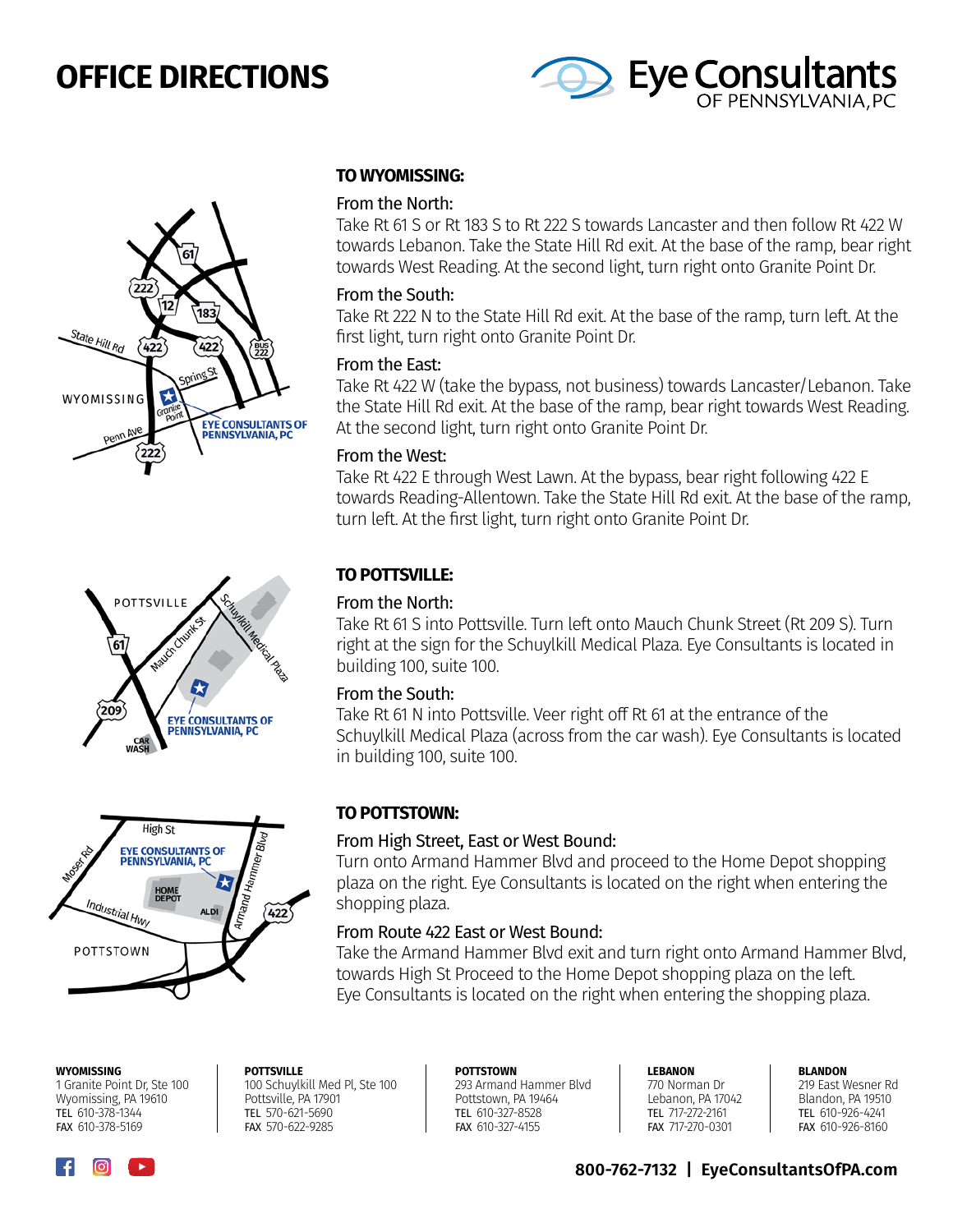# **OFFICE DIRECTIONS**









#### **WYOMISSING**

1 Granite Point Dr, Ste 100 Wyomissing, PA 19610 TEL 610-378-1344 FAX 610-378-5169

#### **TO WYOMISSING:**

#### From the North:

Take Rt 61 S or Rt 183 S to Rt 222 S towards Lancaster and then follow Rt 422 W towards Lebanon. Take the State Hill Rd exit. At the base of the ramp, bear right towards West Reading. At the second light, turn right onto Granite Point Dr.

#### From the South:

Take Rt 222 N to the State Hill Rd exit. At the base of the ramp, turn left. At the first light, turn right onto Granite Point Dr.

#### From the East:

Take Rt 422 W (take the bypass, not business) towards Lancaster/Lebanon. Take the State Hill Rd exit. At the base of the ramp, bear right towards West Reading. At the second light, turn right onto Granite Point Dr.

#### From the West:

Take Rt 422 E through West Lawn. At the bypass, bear right following 422 E towards Reading-Allentown. Take the State Hill Rd exit. At the base of the ramp, turn left. At the first light, turn right onto Granite Point Dr.

#### **TO POTTSVILLE:**

#### From the North:

Take Rt 61 S into Pottsville. Turn left onto Mauch Chunk Street (Rt 209 S). Turn right at the sign for the Schuylkill Medical Plaza. Eye Consultants is located in building 100, suite 100.

#### From the South:

Take Rt 61 N into Pottsville. Veer right off Rt 61 at the entrance of the Schuylkill Medical Plaza (across from the car wash). Eye Consultants is located in building 100, suite 100.

#### **TO POTTSTOWN:**

#### From High Street, East or West Bound:

Turn onto Armand Hammer Blvd and proceed to the Home Depot shopping plaza on the right. Eye Consultants is located on the right when entering the shopping plaza.

#### From Route 422 East or West Bound:

Take the Armand Hammer Blvd exit and turn right onto Armand Hammer Blvd, towards High St Proceed to the Home Depot shopping plaza on the left. Eye Consultants is located on the right when entering the shopping plaza.

> **POTTSTOWN** 293 Armand Hammer Blvd Pottstown, PA 19464 TEL 610-327-8528 FAX 610-327-4155

**LEBANON** 770 Norman Dr Lebanon, PA 17042 TEL 717-272-2161 FAX 717-270-0301

**BLANDON**

219 East Wesner Rd Blandon, PA 19510 TEL 610-926-4241 FAX 610-926-8160

### **800-762-7132 | EyeConsultantsOfPA.com**

Pottsville, PA 17901 TEL 570-621-5690 FAX 570-622-9285

**POTTSVILLE**

100 Schuylkill Med Pl, Ste 100